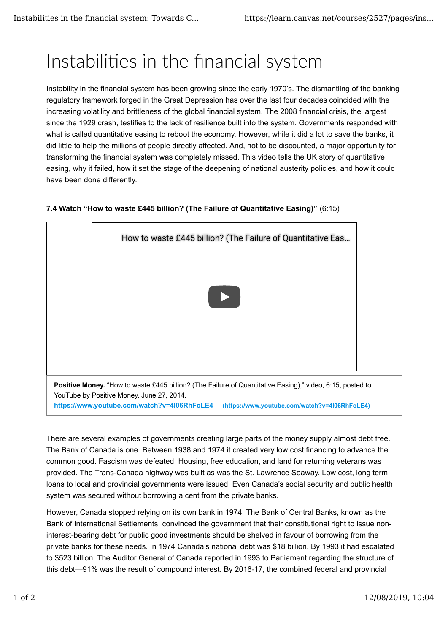## Instabilities in the financial system

Instability in the financial system has been growing since the early 1970's. The dismantling of the banking regulatory framework forged in the Great Depression has over the last four decades coincided with the increasing volatility and brittleness of the global financial system. The 2008 financial crisis, the largest since the 1929 crash, testifies to the lack of resilience built into the system. Governments responded with what is called quantitative easing to reboot the economy. However, while it did a lot to save the banks, it did little to help the millions of people directly affected. And, not to be discounted, a major opportunity for transforming the financial system was completely missed. This video tells the UK story of quantitative easing, why it failed, how it set the stage of the deepening of national austerity policies, and how it could have been done differently.

## **7.4 Watch "How to waste £445 billion? (The Failure of Quantitative Easing)"** (6:15)



There are several examples of governments creating large parts of the money supply almost debt free. The Bank of Canada is one. Between 1938 and 1974 it created very low cost financing to advance the common good. Fascism was defeated. Housing, free education, and land for returning veterans was provided. The Trans-Canada highway was built as was the St. Lawrence Seaway. Low cost, long term loans to local and provincial governments were issued. Even Canada's social security and public health system was secured without borrowing a cent from the private banks.

However, Canada stopped relying on its own bank in 1974. The Bank of Central Banks, known as the Bank of International Settlements, convinced the government that their constitutional right to issue noninterest-bearing debt for public good investments should be shelved in favour of borrowing from the private banks for these needs. In 1974 Canada's national debt was \$18 billion. By 1993 it had escalated to \$523 billion. The Auditor General of Canada reported in 1993 to Parliament regarding the structure of this debt—91% was the result of compound interest. By 2016-17, the combined federal and provincial